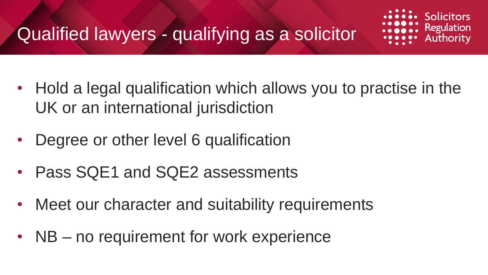

- Hold a legal qualification which allows you to practise in the UK or an international jurisdiction
- Degree or other level 6 qualification
- Pass SQE1 and SQE2 assessments
- Meet our character and suitability requirements
- NB no requirement for work experience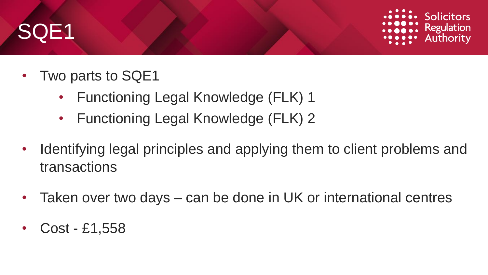# SQE1



- Two parts to SQE1
	- Functioning Legal Knowledge (FLK) 1
	- Functioning Legal Knowledge (FLK) 2
- Identifying legal principles and applying them to client problems and transactions
- Taken over two days can be done in UK or international centres
- Cost £1,558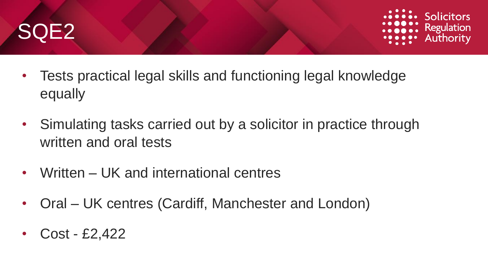



- Tests practical legal skills and functioning legal knowledge equally
- Simulating tasks carried out by a solicitor in practice through written and oral tests
- Written UK and international centres
- Oral UK centres (Cardiff, Manchester and London)
- Cost £2,422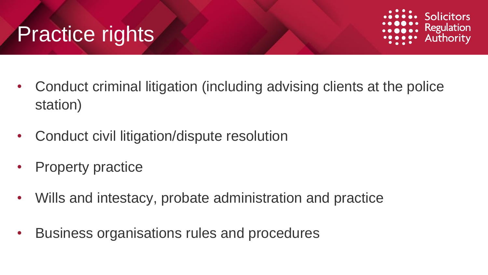#### Practice rights



- Conduct criminal litigation (including advising clients at the police station)
- Conduct civil litigation/dispute resolution
- Property practice
- Wills and intestacy, probate administration and practice
- Business organisations rules and procedures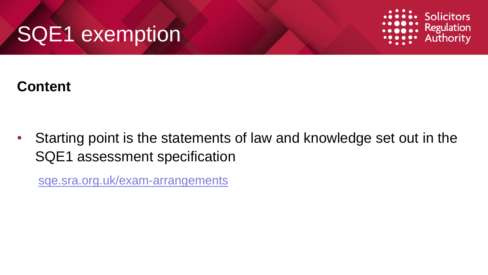### SQE1 exemption



#### **Content**

• Starting point is the statements of law and knowledge set out in the SQE1 assessment specification

[sqe.sra.org.uk/exam-arrangements](https://sqe.sra.org.uk/exam-arrangements/assessment-information)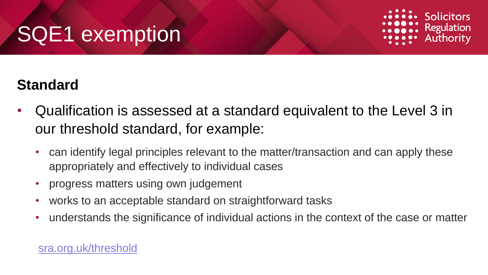# SQE1 exemption



#### **Standard**

- Qualification is assessed at a standard equivalent to the Level 3 in our threshold standard, for example:
	- can identify legal principles relevant to the matter/transaction and can apply these appropriately and effectively to individual cases
	- progress matters using own judgement
	- works to an acceptable standard on straightforward tasks
	- understands the significance of individual actions in the context of the case or matter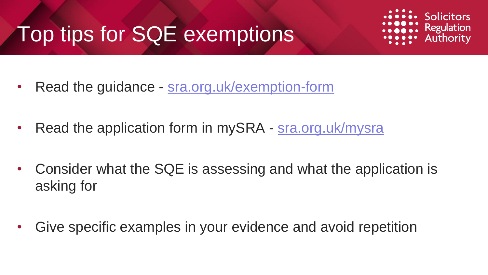# Top tips for SQE exemptions



- Read the guidance [sra.org.uk/exemption-form](https://www.sra.org.uk/exemption-form)
- Read the application form in mySRA [sra.org.uk/mysra](https://www.sra.org.uk/mysra)
- Consider what the SQE is assessing and what the application is asking for
- Give specific examples in your evidence and avoid repetition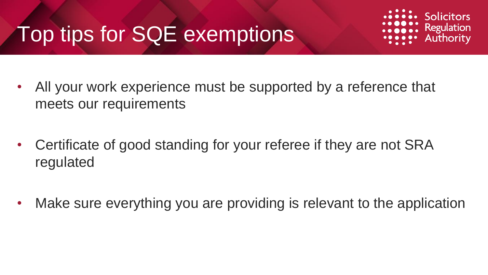# Top tips for SQE exemptions



- All your work experience must be supported by a reference that meets our requirements
- Certificate of good standing for your referee if they are not SRA regulated
- Make sure everything you are providing is relevant to the application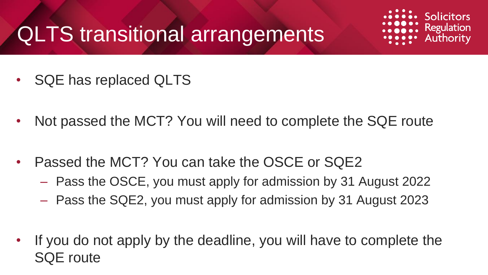### QLTS transitional arrangements



- SQE has replaced QLTS
- Not passed the MCT? You will need to complete the SQE route
- Passed the MCT? You can take the OSCE or SQE2
	- Pass the OSCE, you must apply for admission by 31 August 2022
	- Pass the SQE2, you must apply for admission by 31 August 2023
- If you do not apply by the deadline, you will have to complete the SQE route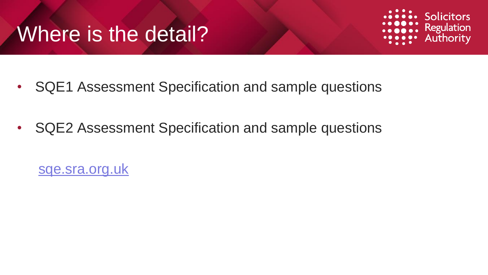#### Where is the detail?



- SQE1 Assessment Specification and sample questions
- SQE2 Assessment Specification and sample questions

[sqe.sra.org.uk](https://sqe.sra.org.uk/)